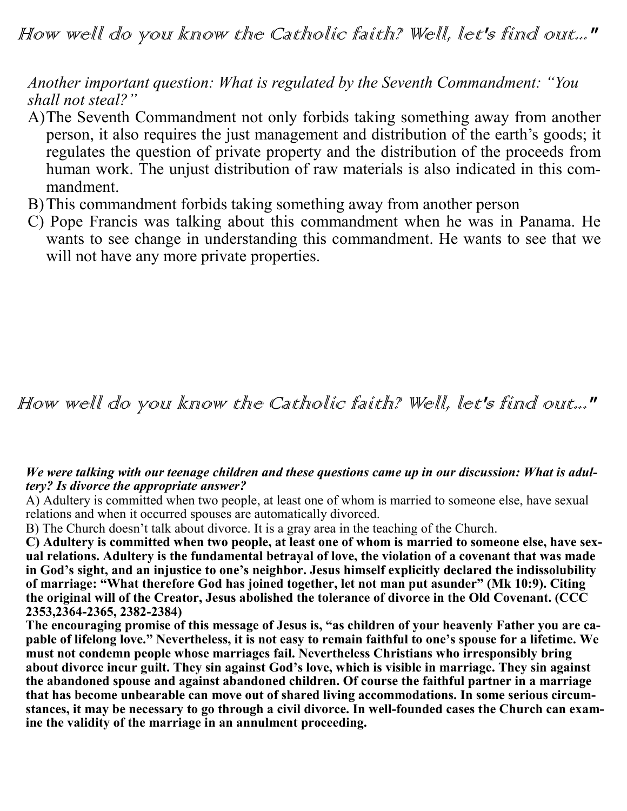*Another important question: What is regulated by the Seventh Commandment: "You shall not steal?"*

- A)The Seventh Commandment not only forbids taking something away from another person, it also requires the just management and distribution of the earth's goods; it regulates the question of private property and the distribution of the proceeds from human work. The unjust distribution of raw materials is also indicated in this commandment.
- B)This commandment forbids taking something away from another person
- C) Pope Francis was talking about this commandment when he was in Panama. He wants to see change in understanding this commandment. He wants to see that we will not have any more private properties.

## How well do you know the Catholic faith? Well, let's find out..."

## *We were talking with our teenage children and these questions came up in our discussion: What is adultery? Is divorce the appropriate answer?*

A) Adultery is committed when two people, at least one of whom is married to someone else, have sexual relations and when it occurred spouses are automatically divorced.

B) The Church doesn't talk about divorce. It is a gray area in the teaching of the Church.

**C) Adultery is committed when two people, at least one of whom is married to someone else, have sexual relations. Adultery is the fundamental betrayal of love, the violation of a covenant that was made in God's sight, and an injustice to one's neighbor. Jesus himself explicitly declared the indissolubility of marriage: "What therefore God has joined together, let not man put asunder" (Mk 10:9). Citing the original will of the Creator, Jesus abolished the tolerance of divorce in the Old Covenant. (CCC 2353,2364-2365, 2382-2384)**

**The encouraging promise of this message of Jesus is, "as children of your heavenly Father you are capable of lifelong love." Nevertheless, it is not easy to remain faithful to one's spouse for a lifetime. We must not condemn people whose marriages fail. Nevertheless Christians who irresponsibly bring about divorce incur guilt. They sin against God's love, which is visible in marriage. They sin against the abandoned spouse and against abandoned children. Of course the faithful partner in a marriage that has become unbearable can move out of shared living accommodations. In some serious circumstances, it may be necessary to go through a civil divorce. In well-founded cases the Church can examine the validity of the marriage in an annulment proceeding.**